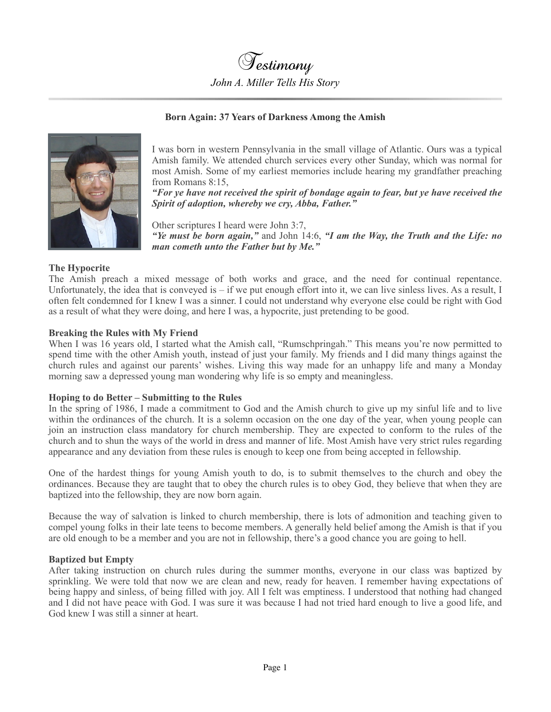Testimony *John A. Miller Tells His Story*

### **Born Again: 37 Years of Darkness Among the Amish**



I was born in western Pennsylvania in the small village of Atlantic. Ours was a typical Amish family. We attended church services every other Sunday, which was normal for most Amish. Some of my earliest memories include hearing my grandfather preaching from Romans 8:15,

*"For ye have not received the spirit of bondage again to fear, but ye have received the Spirit of adoption, whereby we cry, Abba, Father."*

Other scriptures I heard were John 3:7, *"Ye must be born again,"* and John 14:6, *"I am the Way, the Truth and the Life: no man cometh unto the Father but by Me."*

### **The Hypocrite**

The Amish preach a mixed message of both works and grace, and the need for continual repentance. Unfortunately, the idea that is conveyed is  $-$  if we put enough effort into it, we can live sinless lives. As a result, I often felt condemned for I knew I was a sinner. I could not understand why everyone else could be right with God as a result of what they were doing, and here I was, a hypocrite, just pretending to be good.

### **Breaking the Rules with My Friend**

When I was 16 years old, I started what the Amish call, "Rumschpringah." This means you're now permitted to spend time with the other Amish youth, instead of just your family. My friends and I did many things against the church rules and against our parents' wishes. Living this way made for an unhappy life and many a Monday morning saw a depressed young man wondering why life is so empty and meaningless.

#### **Hoping to do Better – Submitting to the Rules**

In the spring of 1986, I made a commitment to God and the Amish church to give up my sinful life and to live within the ordinances of the church. It is a solemn occasion on the one day of the year, when young people can join an instruction class mandatory for church membership. They are expected to conform to the rules of the church and to shun the ways of the world in dress and manner of life. Most Amish have very strict rules regarding appearance and any deviation from these rules is enough to keep one from being accepted in fellowship.

One of the hardest things for young Amish youth to do, is to submit themselves to the church and obey the ordinances. Because they are taught that to obey the church rules is to obey God, they believe that when they are baptized into the fellowship, they are now born again.

Because the way of salvation is linked to church membership, there is lots of admonition and teaching given to compel young folks in their late teens to become members. A generally held belief among the Amish is that if you are old enough to be a member and you are not in fellowship, there's a good chance you are going to hell.

#### **Baptized but Empty**

After taking instruction on church rules during the summer months, everyone in our class was baptized by sprinkling. We were told that now we are clean and new, ready for heaven. I remember having expectations of being happy and sinless, of being filled with joy. All I felt was emptiness. I understood that nothing had changed and I did not have peace with God. I was sure it was because I had not tried hard enough to live a good life, and God knew I was still a sinner at heart.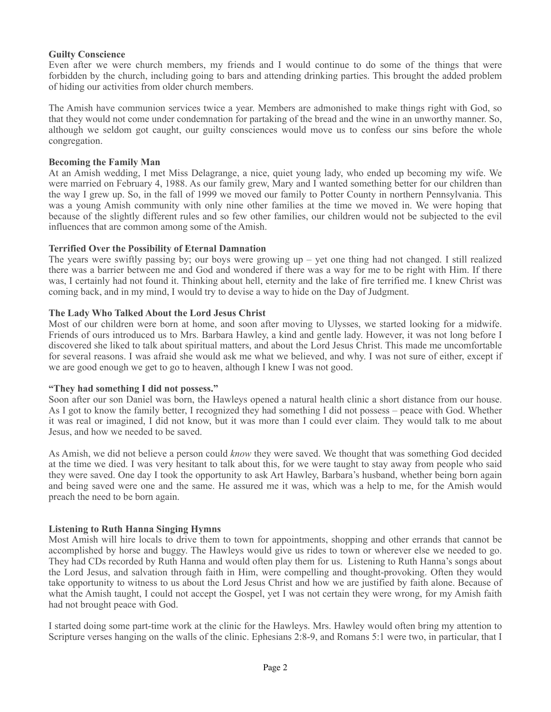# **Guilty Conscience**

Even after we were church members, my friends and I would continue to do some of the things that were forbidden by the church, including going to bars and attending drinking parties. This brought the added problem of hiding our activities from older church members.

The Amish have communion services twice a year. Members are admonished to make things right with God, so that they would not come under condemnation for partaking of the bread and the wine in an unworthy manner. So, although we seldom got caught, our guilty consciences would move us to confess our sins before the whole congregation.

### **Becoming the Family Man**

At an Amish wedding, I met Miss Delagrange, a nice, quiet young lady, who ended up becoming my wife. We were married on February 4, 1988. As our family grew, Mary and I wanted something better for our children than the way I grew up. So, in the fall of 1999 we moved our family to Potter County in northern Pennsylvania. This was a young Amish community with only nine other families at the time we moved in. We were hoping that because of the slightly different rules and so few other families, our children would not be subjected to the evil influences that are common among some of the Amish.

# **Terrified Over the Possibility of Eternal Damnation**

The years were swiftly passing by; our boys were growing up – yet one thing had not changed. I still realized there was a barrier between me and God and wondered if there was a way for me to be right with Him. If there was, I certainly had not found it. Thinking about hell, eternity and the lake of fire terrified me. I knew Christ was coming back, and in my mind, I would try to devise a way to hide on the Day of Judgment.

# **The Lady Who Talked About the Lord Jesus Christ**

Most of our children were born at home, and soon after moving to Ulysses, we started looking for a midwife. Friends of ours introduced us to Mrs. Barbara Hawley, a kind and gentle lady. However, it was not long before I discovered she liked to talk about spiritual matters, and about the Lord Jesus Christ. This made me uncomfortable for several reasons. I was afraid she would ask me what we believed, and why. I was not sure of either, except if we are good enough we get to go to heaven, although I knew I was not good.

# **"They had something I did not possess."**

Soon after our son Daniel was born, the Hawleys opened a natural health clinic a short distance from our house. As I got to know the family better, I recognized they had something I did not possess – peace with God. Whether it was real or imagined, I did not know, but it was more than I could ever claim. They would talk to me about Jesus, and how we needed to be saved.

As Amish, we did not believe a person could *know* they were saved. We thought that was something God decided at the time we died. I was very hesitant to talk about this, for we were taught to stay away from people who said they were saved. One day I took the opportunity to ask Art Hawley, Barbara's husband, whether being born again and being saved were one and the same. He assured me it was, which was a help to me, for the Amish would preach the need to be born again.

# **Listening to Ruth Hanna Singing Hymns**

Most Amish will hire locals to drive them to town for appointments, shopping and other errands that cannot be accomplished by horse and buggy. The Hawleys would give us rides to town or wherever else we needed to go. They had CDs recorded by Ruth Hanna and would often play them for us. Listening to Ruth Hanna's songs about the Lord Jesus, and salvation through faith in Him, were compelling and thought-provoking. Often they would take opportunity to witness to us about the Lord Jesus Christ and how we are justified by faith alone. Because of what the Amish taught, I could not accept the Gospel, yet I was not certain they were wrong, for my Amish faith had not brought peace with God.

I started doing some part-time work at the clinic for the Hawleys. Mrs. Hawley would often bring my attention to Scripture verses hanging on the walls of the clinic. Ephesians 2:8-9, and Romans 5:1 were two, in particular, that I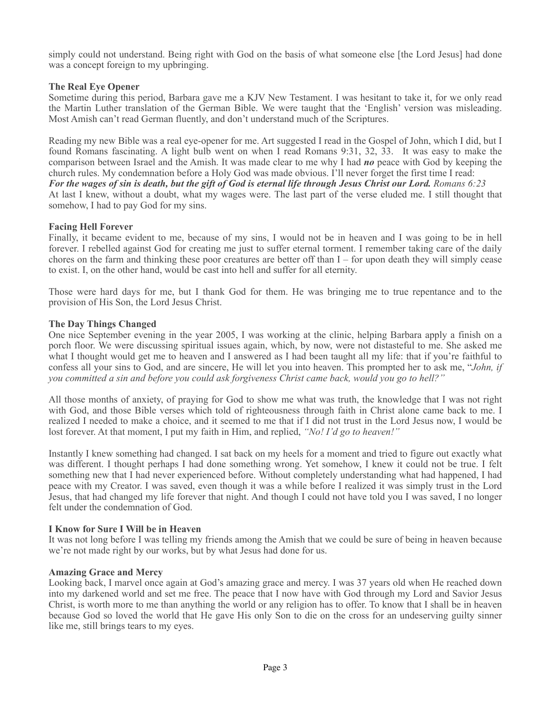simply could not understand. Being right with God on the basis of what someone else [the Lord Jesus] had done was a concept foreign to my upbringing.

# **The Real Eye Opener**

Sometime during this period, Barbara gave me a KJV New Testament. I was hesitant to take it, for we only read the Martin Luther translation of the German Bible. We were taught that the 'English' version was misleading. Most Amish can't read German fluently, and don't understand much of the Scriptures.

Reading my new Bible was a real eye-opener for me. Art suggested I read in the Gospel of John, which I did, but I found Romans fascinating. A light bulb went on when I read Romans 9:31, 32, 33. It was easy to make the comparison between Israel and the Amish. It was made clear to me why I had *no* peace with God by keeping the church rules. My condemnation before a Holy God was made obvious. I'll never forget the first time I read: *For the wages of sin is death, but the gift of God is eternal life through Jesus Christ our Lord. Romans 6:23* At last I knew, without a doubt, what my wages were. The last part of the verse eluded me. I still thought that somehow, I had to pay God for my sins.

### **Facing Hell Forever**

Finally, it became evident to me, because of my sins, I would not be in heaven and I was going to be in hell forever. I rebelled against God for creating me just to suffer eternal torment. I remember taking care of the daily chores on the farm and thinking these poor creatures are better off than I – for upon death they will simply cease to exist. I, on the other hand, would be cast into hell and suffer for all eternity.

Those were hard days for me, but I thank God for them. He was bringing me to true repentance and to the provision of His Son, the Lord Jesus Christ.

### **The Day Things Changed**

One nice September evening in the year 2005, I was working at the clinic, helping Barbara apply a finish on a porch floor. We were discussing spiritual issues again, which, by now, were not distasteful to me. She asked me what I thought would get me to heaven and I answered as I had been taught all my life: that if you're faithful to confess all your sins to God, and are sincere, He will let you into heaven. This prompted her to ask me, "*John, if you committed a sin and before you could ask forgiveness Christ came back, would you go to hell?"*

All those months of anxiety, of praying for God to show me what was truth, the knowledge that I was not right with God, and those Bible verses which told of righteousness through faith in Christ alone came back to me. I realized I needed to make a choice, and it seemed to me that if I did not trust in the Lord Jesus now, I would be lost forever. At that moment, I put my faith in Him, and replied, *"No! I'd go to heaven!"*

Instantly I knew something had changed. I sat back on my heels for a moment and tried to figure out exactly what was different. I thought perhaps I had done something wrong. Yet somehow, I knew it could not be true. I felt something new that I had never experienced before. Without completely understanding what had happened, I had peace with my Creator. I was saved, even though it was a while before I realized it was simply trust in the Lord Jesus, that had changed my life forever that night. And though I could not have told you I was saved, I no longer felt under the condemnation of God.

# **I Know for Sure I Will be in Heaven**

It was not long before I was telling my friends among the Amish that we could be sure of being in heaven because we're not made right by our works, but by what Jesus had done for us.

#### **Amazing Grace and Mercy**

Looking back, I marvel once again at God's amazing grace and mercy. I was 37 years old when He reached down into my darkened world and set me free. The peace that I now have with God through my Lord and Savior Jesus Christ, is worth more to me than anything the world or any religion has to offer. To know that I shall be in heaven because God so loved the world that He gave His only Son to die on the cross for an undeserving guilty sinner like me, still brings tears to my eyes.